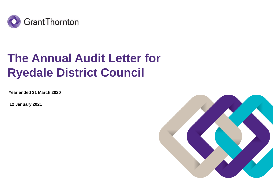

# **The Annual Audit Letter for Ryedale District Council**

**Year ended 31 March 2020**

**12 January 2021**

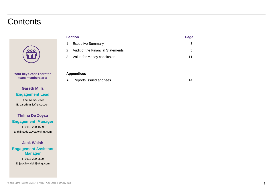### **Contents**



**Your key Grant Thornton team members are:**

### **Gareth Mills Engagement Lead** T: 0113 200 2535 E: gareth.mills@uk.gt.com

**Thilina De Zoysa Engagement Manager** T: 0113 200 1589 E: thilina.de.zoysa@uk.gt.com

**Jack Walsh Engagement Assistant Manager** T: 0113 200 2529 E: jack.h.walsh@uk.gt.com

| <b>Section</b> |                                      | Page |
|----------------|--------------------------------------|------|
|                | 1. Executive Summary                 | 3    |
|                | 2. Audit of the Financial Statements | 5    |
|                | 3. Value for Money conclusion        | 11   |
|                |                                      |      |
|                |                                      |      |

#### **Appendices**

A Reports issued and fees 14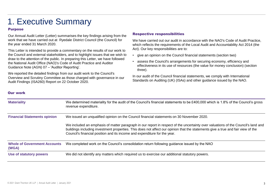# 1. Executive Summary

#### Purpose

Our Annual Audit Letter (Letter) summarises the key findings arising from the work that we have carried out at Ryedale District Council (the Council) for the year ended 31 March 2020.

This Letter is intended to provide a commentary on the results of our work to the Council and external stakeholders, and to highlight issues that we wish to draw to the attention of the public. In preparing this Letter, we have followed the National Audit Office (NAO)'s Code of Audit Practice and Auditor Guidance Note (AGN) 07 – 'Auditor Reporting'.

We reported the detailed findings from our audit work to the Council's Overview and Scrutiny Committee as those charged with governance in our Audit Findings (ISA260) Report on 22 October 2020.

#### Respective responsibilities

We have carried out our audit in accordance with the NAO's Code of Audit Practice, which reflects the requirements of the Local Audit and Accountability Act 2014 (the Act). Our key responsibilities are to:

- give an opinion on the Council financial statements (section two)
- assess the Council's arrangements for securing economy, efficiency and effectiveness in its use of resources (the value for money conclusion) (section three).

In our audit of the Council financial statements, we comply with International Standards on Auditing (UK) (ISAs) and other guidance issued by the NAO.

#### Our work

| <b>Materiality</b>                           | We determined materiality for the audit of the Council's financial statements to be £400,000 which is 1.8% of the Council's gross<br>revenue expenditure.                                                                                                                                                                                          |
|----------------------------------------------|----------------------------------------------------------------------------------------------------------------------------------------------------------------------------------------------------------------------------------------------------------------------------------------------------------------------------------------------------|
| <b>Financial Statements opinion</b>          | We issued an unqualified opinion on the Council financial statements on 30 November 2020.                                                                                                                                                                                                                                                          |
|                                              | We included an emphasis of matter paragraph in our report in respect of the uncertainty over valuations of the Council's land and<br>buildings including investment properties. This does not affect our opinion that the statements give a true and fair view of the<br>Council's financial position and its income and expenditure for the year. |
| <b>Whole of Government Accounts</b><br>(WGA) | We completed work on the Council's consolidation return following guidance issued by the NAO                                                                                                                                                                                                                                                       |
| Use of statutory powers                      | We did not identify any matters which required us to exercise our additional statutory powers.                                                                                                                                                                                                                                                     |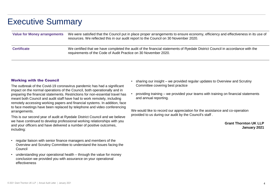# Executive Summary

| <b>Value for Money arrangements</b> | We were satisfied that the Council put in place proper arrangements to ensure economy, efficiency and effectiveness in its use of<br>resources. We reflected this in our audit report to the Council on 30 November 2020. |
|-------------------------------------|---------------------------------------------------------------------------------------------------------------------------------------------------------------------------------------------------------------------------|
| <b>Certificate</b>                  | We certified that we have completed the audit of the financial statements of Ryedale District Council in accordance with the<br>requirements of the Code of Audit Practice on 30 November 2020.                           |

#### Working with the Council

The outbreak of the Covid-19 coronavirus pandemic has had a significant impact on the normal operations of the Council, both operationally and in preparing the financial statements. Restrictions for non-essential travel has meant both Council and audit staff have had to work remotely, including remotely accessing working papers and financial systems. In addition, face to face meetings have been replaced by telephone and video conferencing arrangements.

This is our second year of audit at Ryedale District Council and we believe we have continued to develop professional working relationships with you and your officers and have delivered a number of positive outcomes, including:

- regular liaison with senior finance managers and members of the Overview and Scrutiny Committee to understand the issues facing the Council
- understanding your operational health through the value for money conclusion we provided you with assurance on your operational effectiveness
- sharing our insight we provided regular updates to Overview and Scrutiny Committee covering best practice
- providing training we provided your teams with training on financial statements and annual reporting.

We would like to record our appreciation for the assistance and co-operation provided to us during our audit by the Council's staff .

> **Grant Thornton UK LLP January 2021**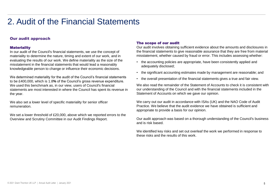### Our audit approach

#### **Materiality**

In our audit of the Council's financial statements, we use the concept of materiality to determine the nature, timing and extent of our work, and in evaluating the results of our work. We define materiality as the size of the misstatement in the financial statements that would lead a reasonably knowledgeable person to change or influence their economic decisions.

We determined materiality for the audit of the Council's financial statements to be £400,000, which is 1.8**%** of the Council's gross revenue expenditure. We used this benchmark as, in our view, users of Council's financial statements are most interested in where the Council has spent its revenue in the year.

We also set a lower level of specific materiality for senior officer remuneration.

We set a lower threshold of £20,000, above which we reported errors to the Overview and Scrutiny Committee in our Audit Findings Report.

#### The scope of our audit

Our audit involves obtaining sufficient evidence about the amounts and disclosures in the financial statements to give reasonable assurance that they are free from material misstatement, whether caused by fraud or error. This includes assessing whether:

- the accounting policies are appropriate, have been consistently applied and adequately disclosed;
- the significant accounting estimates made by management are reasonable; and
- the overall presentation of the financial statements gives a true and fair view.

We also read the remainder of the Statement of Accounts to check it is consistent with our understanding of the Council and with the financial statements included in the Statement of Accounts on which we gave our opinion.

We carry out our audit in accordance with ISAs (UK) and the NAO Code of Audit Practice. We believe that the audit evidence we have obtained is sufficient and appropriate to provide a basis for our opinion.

Our audit approach was based on a thorough understanding of the Council's business and is risk based.

We identified key risks and set out overleaf the work we performed in response to these risks and the results of this work.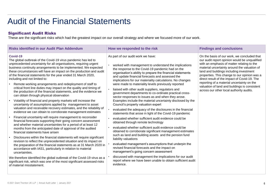#### Significant Audit Risks

These are the significant risks which had the greatest impact on our overall strategy and where we focused more of our work.

| <b>Risks identified in our Audit Plan Addendum</b>                                                                                                                                                                                                                                                                                                                                                                                                                                                                                                                                                                                                                                                                                                                                                                                                                                                                                                                                                                                                                                                                                                                                                                                                                                                                                                                                                                                                                                                                                                                                                                                                                                                      | How we responded to the risk                                                                                                                                                                                                                                                                                                                                                                                                                                                                                                                                                                                                                                                                                                                                                                                                                                                                                                                                                                                                                                                                                                                                                                                                                                                                                                                                                          | <b>Findings and conclusions</b>                                                                                                                                                                                                                                                                                                                                                                                                                                                  |
|---------------------------------------------------------------------------------------------------------------------------------------------------------------------------------------------------------------------------------------------------------------------------------------------------------------------------------------------------------------------------------------------------------------------------------------------------------------------------------------------------------------------------------------------------------------------------------------------------------------------------------------------------------------------------------------------------------------------------------------------------------------------------------------------------------------------------------------------------------------------------------------------------------------------------------------------------------------------------------------------------------------------------------------------------------------------------------------------------------------------------------------------------------------------------------------------------------------------------------------------------------------------------------------------------------------------------------------------------------------------------------------------------------------------------------------------------------------------------------------------------------------------------------------------------------------------------------------------------------------------------------------------------------------------------------------------------------|---------------------------------------------------------------------------------------------------------------------------------------------------------------------------------------------------------------------------------------------------------------------------------------------------------------------------------------------------------------------------------------------------------------------------------------------------------------------------------------------------------------------------------------------------------------------------------------------------------------------------------------------------------------------------------------------------------------------------------------------------------------------------------------------------------------------------------------------------------------------------------------------------------------------------------------------------------------------------------------------------------------------------------------------------------------------------------------------------------------------------------------------------------------------------------------------------------------------------------------------------------------------------------------------------------------------------------------------------------------------------------------|----------------------------------------------------------------------------------------------------------------------------------------------------------------------------------------------------------------------------------------------------------------------------------------------------------------------------------------------------------------------------------------------------------------------------------------------------------------------------------|
| Covid-19<br>The global outbreak of the Covid-19 virus pandemic has led to<br>unprecedented uncertainty for all organisations, requiring urgent<br>business continuity arrangements to be implemented. We expected<br>these circumstances will have an impact on the production and audit<br>of the financial statements for the year ended 31 March 2020,<br>including and not limited to:<br>Remote working arrangements and redeployment of staff to<br>critical front line duties may impact on the quality and timing of<br>the production of the financial statements, and the evidence we<br>can obtain through physical observation<br>Volatility of financial and property markets will increase the<br>uncertainty of assumptions applied by management to asset<br>valuation and receivable recovery estimates, and the reliability of<br>evidence we can obtain to corroborate management estimates<br>Financial uncertainty will require management to reconsider<br>financial forecasts supporting their going concern assessment<br>and whether material uncertainties for a period of at least 12<br>months from the anticipated date of approval of the audited<br>financial statements have arisen<br>Disclosures within the financial statements will require significant<br>revision to reflect the unprecedented situation and its impact on<br>the preparation of the financial statements as at 31 March 2020 in<br>accordance with IAS1, particularly in relation to material<br>uncertainties.<br>We therefore identified the global outbreak of the Covid-19 virus as a<br>significant risk, which was one of the most significant assessed risks<br>of material misstatement. | As part of our audit work we have:<br>worked with management to understand the implications<br>the response to the Covid-19 pandemic had on the<br>organisation's ability to prepare the financial statements<br>and update financial forecasts and assessed the<br>implications for our materiality calculations. No changes<br>were made to materiality levels previously reported<br>liaised with other audit suppliers, regulators and<br>government departments to co-ordinate practical cross-<br>sector responses to issues as and when they arose.<br>Examples include the material uncertainty disclosed by the<br>Council's property valuation expert<br>evaluated the adequacy of the disclosures in the financial<br>statements that arose in light of the Covid-19 pandemic<br>evaluated whether sufficient audit evidence could be<br>obtained through remote technology<br>evaluated whether sufficient audit evidence could be<br>obtained to corroborate significant management estimates<br>such as land and building assets and the pension fund<br>liability valuations<br>evaluated management's assumptions that underpin the<br>revised financial forecasts and the impact on<br>management's going concern assessment<br>discussed with management the implications for our audit<br>report where we have been unable to obtain sufficient audit<br>evidence. | On the basis of our work, we concluded that<br>our audit report opinion would be unqualified<br>with an emphasis of matter relating to the<br>material uncertainty around the valuation of<br>land and buildings including investment<br>properties. This change to our opinion was a<br>direct result of the impact of Covid-19. The<br>reporting of a material uncertainty on the<br>valuation of land and buildings is consistent<br>across our other local authority audits. |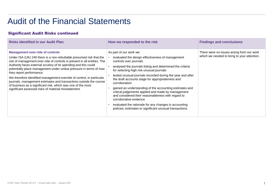### Significant Audit Risks continued

| <b>Risks identified in our Audit Plan</b>                                                                                                                                                                                                                                                                                                                                                                                                                                                                                                                                                                                              | How we responded to the risk                                                                                                                                                                                                                                                                                                                                                                                                                                                                                                                                                                                                                                            | <b>Findings and conclusions</b>                                                          |
|----------------------------------------------------------------------------------------------------------------------------------------------------------------------------------------------------------------------------------------------------------------------------------------------------------------------------------------------------------------------------------------------------------------------------------------------------------------------------------------------------------------------------------------------------------------------------------------------------------------------------------------|-------------------------------------------------------------------------------------------------------------------------------------------------------------------------------------------------------------------------------------------------------------------------------------------------------------------------------------------------------------------------------------------------------------------------------------------------------------------------------------------------------------------------------------------------------------------------------------------------------------------------------------------------------------------------|------------------------------------------------------------------------------------------|
| <b>Management over-ride of controls</b><br>Under ISA (UK) 240 there is a non-rebuttable presumed risk that the<br>risk of management over-ride of controls is present in all entities. The<br>Authority faces external scrutiny of its spending and this could<br>potentially place management under undue pressure in terms of how<br>they report performance.<br>We therefore identified management override of control, in particular<br>journals, management estimates and transactions outside the course<br>of business as a significant risk, which was one of the most<br>significant assessed risks of material misstatement. | As part of our work we:<br>evaluated the design effectiveness of management<br>controls over journals<br>analysed the journals listing and determined the criteria<br>for selecting high risk unusual journals<br>tested unusual journals recorded during the year and after<br>the draft accounts stage for appropriateness and<br>corroboration<br>gained an understanding of the accounting estimates and<br>critical judgements applied and made by management<br>and considered their reasonableness with regard to<br>corroborative evidence<br>evaluated the rationale for any changes in accounting<br>policies, estimates or significant unusual transactions. | There were no issues arsing from our work<br>which we needed to bring to your attention. |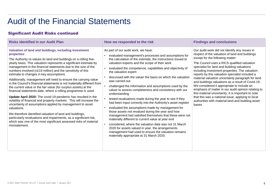### Significant Audit Risks continued

| <b>Risks identified in our Audit Plan</b>                                                                                                                                                                                                                                                                                                                                                                                                                                                                                                                                                                                                                                                                                                                                                                                                                                                                                                                                                                                                                                                                           | How we responded to the risk                                                                                                                                                                                                                                                                                                                                                                                                                                                                                                                                                                                                                                                                                                                                                                                                                                                                                                                                                                                                                                                               | <b>Findings and conclusions</b>                                                                                                                                                                                                                                                                                                                                                                                                                                                                                                                                                                                                                                                                                                |
|---------------------------------------------------------------------------------------------------------------------------------------------------------------------------------------------------------------------------------------------------------------------------------------------------------------------------------------------------------------------------------------------------------------------------------------------------------------------------------------------------------------------------------------------------------------------------------------------------------------------------------------------------------------------------------------------------------------------------------------------------------------------------------------------------------------------------------------------------------------------------------------------------------------------------------------------------------------------------------------------------------------------------------------------------------------------------------------------------------------------|--------------------------------------------------------------------------------------------------------------------------------------------------------------------------------------------------------------------------------------------------------------------------------------------------------------------------------------------------------------------------------------------------------------------------------------------------------------------------------------------------------------------------------------------------------------------------------------------------------------------------------------------------------------------------------------------------------------------------------------------------------------------------------------------------------------------------------------------------------------------------------------------------------------------------------------------------------------------------------------------------------------------------------------------------------------------------------------------|--------------------------------------------------------------------------------------------------------------------------------------------------------------------------------------------------------------------------------------------------------------------------------------------------------------------------------------------------------------------------------------------------------------------------------------------------------------------------------------------------------------------------------------------------------------------------------------------------------------------------------------------------------------------------------------------------------------------------------|
| Valuation of land and buildings, including investment<br>properties<br>The Authority re-values its land and buildings on a rolling five-<br>yearly basis. This valuation represents a significant estimate by<br>management in the financial statements due to the size of the<br>numbers involved (c£19 million) and the sensitivity of this<br>estimate to changes in key assumptions.<br>Additionally, management will need to ensure the carrying value<br>in the Council's financial statements is not materially different from<br>the current value or the fair value (for surplus assets) at the<br>financial statements date, where a rolling programme is used.<br>Update April 2020: The covid-19 pandemic has resulted in the<br>volatility of financial and property markets. This will increase the<br>uncertainty of assumptions applied by management to asset<br>valuations.<br>We therefore identified valuation of land and buildings,<br>particularly revaluations and impairments, as a significant risk,<br>which was one of the most significant assessed risks of material<br>misstatement. | As part of our audit work, we have:<br>evaluated management's processes and assumptions for<br>the calculation of the estimate, the instructions issued to<br>valuation experts and the scope of their work<br>evaluated the competence, capabilities and objectivity of<br>the valuation expert<br>discussed with the valuer the basis on which the valuation<br>was carried out<br>challenged the information and assumptions used by the<br>valuer to assess completeness and consistency with our<br>understanding<br>tested revaluations made during the year to see if they<br>had been input correctly into the Authority's asset register<br>evaluated the assumptions made by management for<br>those assets not revalued during the year and how<br>management had satisfied themselves that these were not<br>materially different to current value at year end<br>considered, where the valuation date was not 31 March<br>2020 for assets valued in year, the arrangements<br>management had used to ensure the valuation remains<br>materially appropriate at 31 March 2020. | Our audit work did not identify any issues in<br>respect of the valuation of land and buildings<br>except for the following matter:<br>The Council uses a RICS qualified valuation<br>specialist for land and building valuations<br>including investment properties. The valuation<br>reports by this valuation specialist included a<br>material valuation uncertainty paragraph for land<br>and buildings valuations as a result of Covid-19.<br>We considered it appropriate to include an<br>emphasis of matter in our audit opinion relating to<br>this material uncertainty. It is important to note<br>that this was a national issue, applying to local<br>authorities with material land and building asset<br>bases |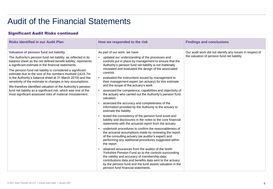### Significant Audit Risks continued

| <b>Risks identified in our Audit Plan</b>                                                                                                                                                                                                                                                                                                                                                                                                                                                                                                                                                                                                                                                  | How we responded to the risk                                                                                                                                                                                                                                                                                                                                                                                                                                                                                                                                                                                                                                                                                                                                                                                                                                                                                                                                                                                                                                                                                                                                                                                                                                                                                                                                                                                                                                                                         | <b>Findings and conclusions</b>                                                                          |
|--------------------------------------------------------------------------------------------------------------------------------------------------------------------------------------------------------------------------------------------------------------------------------------------------------------------------------------------------------------------------------------------------------------------------------------------------------------------------------------------------------------------------------------------------------------------------------------------------------------------------------------------------------------------------------------------|------------------------------------------------------------------------------------------------------------------------------------------------------------------------------------------------------------------------------------------------------------------------------------------------------------------------------------------------------------------------------------------------------------------------------------------------------------------------------------------------------------------------------------------------------------------------------------------------------------------------------------------------------------------------------------------------------------------------------------------------------------------------------------------------------------------------------------------------------------------------------------------------------------------------------------------------------------------------------------------------------------------------------------------------------------------------------------------------------------------------------------------------------------------------------------------------------------------------------------------------------------------------------------------------------------------------------------------------------------------------------------------------------------------------------------------------------------------------------------------------------|----------------------------------------------------------------------------------------------------------|
| Valuation of pension fund net liability<br>The Authority's pension fund net liability, as reflected in its<br>balance sheet as the net defined benefit liability, represents<br>a significant estimate in the financial statements.<br>The pension fund net liability is considered a significant<br>estimate due to the size of the numbers involved (c£15.7m)<br>in the Authority's balance sheet at 31 March 2019) and the<br>sensitivity of the estimate to changes in key assumptions.<br>We therefore identified valuation of the Authority's pension<br>fund net liability as a significant risk, which was one of the<br>most significant assessed risks of material misstatement. | As part of our work, we have:<br>updated our understanding of the processes and<br>$\bullet$<br>controls put in place by management to ensure that the<br>Authority's pension fund net liability is not materially<br>misstated and evaluated the design of the associated<br>controls<br>evaluated the instructions issued by management to<br>their management expert (an actuary) for this estimate<br>and the scope of the actuary's work<br>assessed the competence, capabilities and objectivity of<br>$\bullet$<br>the actuary who carried out the Authority's pension fund<br>valuation<br>assessed the accuracy and completeness of the<br>information provided by the Authority to the actuary to<br>estimate the liability<br>tested the consistency of the pension fund asset and<br>liability and disclosures in the notes to the core financial<br>statements with the actuarial report from the actuary<br>undertook procedures to confirm the reasonableness of<br>the actuarial assumptions made by reviewing the report<br>of the consulting actuary (as auditor's expert) and<br>performing any additional procedures suggested within<br>the report<br>obtained assurances from the auditor of the North<br>Yorkshire Pension Fund as to the controls surrounding<br>the validity and accuracy of membership data;<br>contributions data and benefits data sent to the actuary<br>by the pension fund and the fund assets valuation in the<br>pension fund financial statements. | Our audit work did not identify any issues in respect of<br>the valuation of pension fund net liability. |
|                                                                                                                                                                                                                                                                                                                                                                                                                                                                                                                                                                                                                                                                                            |                                                                                                                                                                                                                                                                                                                                                                                                                                                                                                                                                                                                                                                                                                                                                                                                                                                                                                                                                                                                                                                                                                                                                                                                                                                                                                                                                                                                                                                                                                      |                                                                                                          |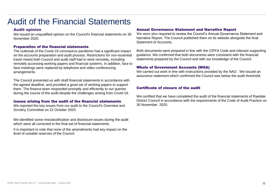#### Audit opinion

We issued an unqualified opinion on the Council's financial statements on 30 November 2020.

#### Preparation of the financial statements

The outbreak of the Covid-19 coronavirus pandemic had a significant impact on the accounts preparation and audit process. Restrictions for non-essential travel meant both Council and audit staff had to work remotely, including remotely accessing working papers and financial systems. In addition, face to face meetings were replaced by telephone and video conferencing arrangements.

The Council presented us with draft financial statements in accordance with the agreed deadline, and provided a good set of working papers to support them. The finance team responded promptly and efficiently to our queries during the course of the audit despite the challenges arising from Covid-19.

#### Issues arising from the audit of the financial statements

We reported the key issues from our audit to the Council's Overview and Scrutiny Committee on 22 October 2020.

We identified some misclassification and disclosure issues during the audit which were all corrected in the final set of financial statements.

It is important to note that none of the amendments had any impact on the level of useable reserves of the Council.

#### Annual Governance Statement and Narrative Report

We were also required to review the Council's Annual Governance Statement and Narrative Report. The Council published them on its website alongside the final Statement of Accounts.

Both documents were prepared in line with the CIPFA Code and relevant supporting guidance. We confirmed that both documents were consistent with the financial statements prepared by the Council and with our knowledge of the Council.

#### Whole of Government Accounts (WGA)

We carried out work in line with instructions provided by the NAO . We issued an assurance statement which confirmed the Council was below the audit threshold.

#### Certificate of closure of the audit

We certified that we have completed the audit of the financial statements of Ryedale District Council in accordance with the requirements of the Code of Audit Practice on 30 November 2020.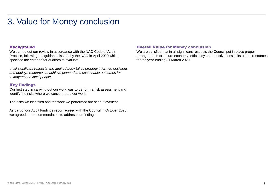## 3. Value for Money conclusion

#### **Background**

We carried out our review in accordance with the NAO Code of Audit Practice, following the guidance issued by the NAO in April 2020 which specified the criterion for auditors to evaluate:

*In all significant respects, the audited body takes properly informed decisions and deploys resources to achieve planned and sustainable outcomes for taxpayers and local people.* 

#### Key findings

Our first step in carrying out our work was to perform a risk assessment and identify the risks where we concentrated our work.

The risks we identified and the work we performed are set out overleaf.

As part of our Audit Findings report agreed with the Council in October 2020, we agreed one recommendation to address our findings.

#### Overall Value for Money conclusion

We are satisfied that in all significant respects the Council put in place proper arrangements to secure economy, efficiency and effectiveness in its use of resources for the year ending 31 March 2020.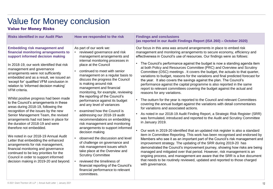# Value for Money conclusion

### Value for Money Risks

| <b>Risks identified in our Audit Plan</b>                                                                                                                                                                                                                                                                                                                                                                                                                                                                                                                                                                                                                                                                                                                                                                                                                                                                                                                                                  | How we responded to the risk                                                                                                                                                                                                                                                                                                                                                                                                                                                                                                                                                                                                                                                                                                                                                                                                                                                                                                                     | <b>Findings and conclusions</b><br>(as reported in our Audit Findings Report (ISA 260) - October 2020)                                                                                                                                                                                                                                                                                                                                                                                                                                                                                                                                                                                                                                                                                                                                                                                                                                                                                                                                                                                                                                                                                                                                                                                                                                                                                                                                                                                                                                                                                                                                                                                                                                                                                                                                                                               |
|--------------------------------------------------------------------------------------------------------------------------------------------------------------------------------------------------------------------------------------------------------------------------------------------------------------------------------------------------------------------------------------------------------------------------------------------------------------------------------------------------------------------------------------------------------------------------------------------------------------------------------------------------------------------------------------------------------------------------------------------------------------------------------------------------------------------------------------------------------------------------------------------------------------------------------------------------------------------------------------------|--------------------------------------------------------------------------------------------------------------------------------------------------------------------------------------------------------------------------------------------------------------------------------------------------------------------------------------------------------------------------------------------------------------------------------------------------------------------------------------------------------------------------------------------------------------------------------------------------------------------------------------------------------------------------------------------------------------------------------------------------------------------------------------------------------------------------------------------------------------------------------------------------------------------------------------------------|--------------------------------------------------------------------------------------------------------------------------------------------------------------------------------------------------------------------------------------------------------------------------------------------------------------------------------------------------------------------------------------------------------------------------------------------------------------------------------------------------------------------------------------------------------------------------------------------------------------------------------------------------------------------------------------------------------------------------------------------------------------------------------------------------------------------------------------------------------------------------------------------------------------------------------------------------------------------------------------------------------------------------------------------------------------------------------------------------------------------------------------------------------------------------------------------------------------------------------------------------------------------------------------------------------------------------------------------------------------------------------------------------------------------------------------------------------------------------------------------------------------------------------------------------------------------------------------------------------------------------------------------------------------------------------------------------------------------------------------------------------------------------------------------------------------------------------------------------------------------------------------|
| <b>Embedding risk management and</b><br>financial monitoring arrangements to<br>support informed decision making<br>In 2018-19, our work identified that risk<br>management and governance<br>arrangements were not sufficiently<br>embedded and as a result, we issued an<br>'except for' qualified VFM conclusion in<br>relation to 'informed decision making'<br>VFM criteria.<br>Whilst positive progress had been made<br>to the Council's arrangements in these<br>areas during 2018-19, following the<br>recognition of the issues by the new<br>Senior Management Team, the revised<br>arrangements had not been in place for<br>the duration of 2018-19 and were<br>therefore not embedded.<br>We noted in our 2018-19 Annual Audit<br>Letter that embedding the enhanced<br>arrangements for risk management,<br>financial monitoring and governance<br>continued to be key priorities for the<br>Council in order to support informed<br>decision making in 2019-20 and beyond. | As part of our work we:<br>reviewed governance and risk<br>management arrangements and<br>internal monitoring processes in<br>place at the Council<br>continued to meet with senior<br>management on a regular basis to<br>discuss the progress the Council<br>is making around risk<br>management and financial<br>monitoring, for example, reviewing<br>the reporting of the Council's<br>performance against its budget<br>and any level of variances<br>examined how the Council is<br>addressing our 2018-19 audit<br>recommendations on embedding<br>risk management and monitoring<br>arrangements to support informed<br>decision making<br>observed the discussion and level<br>of challenge on governance and<br>risk management issues which<br>take place at the Overview and<br><b>Scrutiny Committee</b><br>reviewed the timeliness of<br>financial reporting of the Council's<br>financial performance to relevant<br>committees. | Our focus in this area was around arrangements in place to embed risk<br>management and monitoring arrangements to secure economy, efficiency and<br>effectiveness in Council's use of resources. Our findings were as follows:<br>• The Council's performance against the budget is now a standing agenda item<br>at both Policy and Resources Committee (PRC) and Overview and Scrutiny<br>Committee (OSC) meetings . It covers the budget, the actuals to that quarter,<br>variations to budget, reasons for the variations and final predicted forecast for<br>the year. It also covers the savings against the plan. The Council's<br>performance against the capital programme is also reported in the same<br>report to relevant committees covering the budget against the actual and<br>reasons for any variations.<br>The outturn for the year is reported to the Council and relevant Committees<br>covering the annual budget against the variations with detail commentaries<br>for variations and associated actions.<br>As noted in our 2018-19 Audit Finding Report, a Strategic Risk Register (SRR)<br>was formulated, introduced and reported to the Audit and Scrutiny Committee<br>in January 2019.<br>Our work in 2019-20 identified that an updated risk register is also a standard<br>item in Committee Reporting. This work has been recognised and endorsed by<br>Members who see it as an important part of the Council's risk management and<br>improvement strategy. The updating of the SRR during 2019-20 has<br>demonstrated the Council's improvement journey, showing how risks are being<br>managed and mitigated over that period. However, risk management is an<br>ongoing process, and management are aware that the SRR is a live document<br>that needs to be routinely reviewed, updated and reported to those charged<br>with governance. |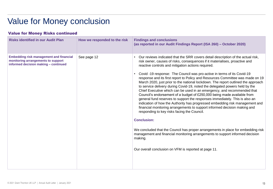# Value for Money conclusion

### Value for Money Risks continued

| <b>Risks identified in our Audit Plan</b>                                                                                    | How we responded to the risk | <b>Findings and conclusions</b><br>(as reported in our Audit Findings Report (ISA 260) - October 2020)                                                                                                                                                                                                                                                                                                                                                                                                                                                                                                                                                                                                                                                                                                                                                                                                                                                                                                                                                                                                                                                                                                                                                                  |
|------------------------------------------------------------------------------------------------------------------------------|------------------------------|-------------------------------------------------------------------------------------------------------------------------------------------------------------------------------------------------------------------------------------------------------------------------------------------------------------------------------------------------------------------------------------------------------------------------------------------------------------------------------------------------------------------------------------------------------------------------------------------------------------------------------------------------------------------------------------------------------------------------------------------------------------------------------------------------------------------------------------------------------------------------------------------------------------------------------------------------------------------------------------------------------------------------------------------------------------------------------------------------------------------------------------------------------------------------------------------------------------------------------------------------------------------------|
| <b>Embedding risk management and financial</b><br>monitoring arrangements to support<br>informed decision making - continued | See page 12                  | Our reviews indicated that the SRR covers detail description of the actual risk,<br>risk owner, causes of risks, consequences if it materialises, proactive and<br>reactive controls and mitigation actions required.<br>Covid -19 response: The Council was pro-active in terms of its Covid-19<br>response and its first report to Policy and Resources Committee was made on 19<br>March 2020, just prior to the national lockdown. The report outlined the approach<br>to service delivery during Covid-19, noted the delegated powers held by the<br>Chief Executive which can be used in an emergency, and recommended that<br>Council's endorsement of a budget of £250,000 being made available from<br>general fund reserves to support the responses immediately. This is also an<br>indication of how the Authority has progressed embedding risk management and<br>financial monitoring arrangements to support informed decision making and<br>responding to key risks facing the Council.<br><b>Conclusion:</b><br>We concluded that the Council has proper arrangements in place for embedding risk<br>management and financial monitoring arrangements to support informed decision<br>making.<br>Our overall conclusion on VFM is reported at page 11. |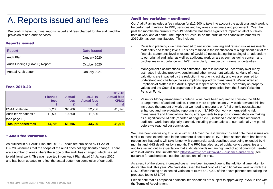### A. Reports issued and fees

We confirm below our final reports issued and fees charged for the audit and the provision of non-audit services.

#### Reports issued

| <b>Report</b>                  | Date issued  |
|--------------------------------|--------------|
| Audit Plan                     | January 2020 |
| Audit Findings (ISA260) Report | October 2020 |
| <b>Annual Audit Letter</b>     | January 2021 |

#### Fees 2019-20

|                            | <b>Planned</b><br>fees | <b>Actual</b><br>fees | 2018-19<br><b>Actual fees</b> | 2017-18<br><b>Actual fees</b><br><b>KPMG</b> |
|----------------------------|------------------------|-----------------------|-------------------------------|----------------------------------------------|
| <b>PSAA</b> scale fee      | 32,206                 | 32,206                | 32,206                        | 41,826                                       |
| Audit fee variations *     | 12.500                 | 19.500                | 11,500                        |                                              |
| (see page 15)              |                        |                       |                               |                                              |
| <b>Total proposed fees</b> | 44.706                 | 51.706                | 43,706                        | 41.826                                       |

#### \* Audit fee variations

As outlined in our Audit Plan, the 2019-20 scale fee published by PSAA of £32,206 assumes that the scope of the audit does not significantly change. There are a number of areas where the scope of the audit has changed, which has led to additional work. This was reported in our Audit Plan dated 24 January 2020 and has been updated to reflect the actual outturn on completion of our audit.

#### Audit fee variation – continued

Our Audit Plan included a fee variation for £12,500 to take into account the additional audit work to be performed in relation to PPE, pensions and key areas of estimate and judgement. Over the past ten months the current Covid-19 pandemic has had a significant impact on all of our lives, both at work and at home. The impact of Covid-19 on the audit of the financial statements for 2019-20 has been multifaceted. This includes:

- Revisiting planning we have needed to revisit our planning and refresh risk assessments, materiality and testing levels. This has resulted in the identification of a significant risk at the financial statements level in respect of Covid-19 necessitating the issuing of an addendum to our original audit plan as well as additional work on areas such as going concern and disclosures in accordance with IAS1 particularly in respect to material uncertainties.
	- Management's assumptions and estimates there is increased uncertainty over many estimates including property, pension and other investment valuations. Many of these valuations are impacted by the reduction in economic activity and we are required to understand and challenge the assumptions applied by management. We included an Emphasis of Matter in the Audit Report in respect of the material uncertainty on property values and the Council's proportion of investment properties from the South Yorkshire Pension Fund.

• Value for Money arrangements criteria – we have been required to consider the VFM arrangements of audited bodies. There is more emphases on VFM work now and this has increased the amount of work that we need to undertake on VFM criteria necessitating enhanced and more detailed reporting in our ISA260. Our work on embedding risk management and financial monitoring arrangements to support informed decision making as a significant VFM risk (reported at pages 12-13) included a considerable amount of additional work than originally planned, including presentations to our national VFM panel, before we reached our conclusion.

We have been discussing this issue with PSAA over the last few months and note these issues are similar to those experienced in the commercial sector and NHS. In both sectors there has been a recognition that audits will take longer with commercial audit deadlines also being extended by 4 months and NHS deadlines by a month. The FRC has also issued guidance to companies and auditors setting out its expectation that audit standards remain high and of additional work needed across all audits. The link attached<https://www.frc.org.uk/covid-19-guidance-and-advice> (see guidance for auditors) sets out the expectations of the FRC.

As a result of the above, increased costs have been incurred due to the additional time taken to deliver the audit this year. We have discussed the likelihood of an additional fee variation with the S151 Officer, noting an expected variation of c15% or £7,000 of the above planned fee, taking the proposed fee to £51,706.

© 2021 Grant Thornton UK LLP | Annual Audit Letter | January 2021 **14 Contact Contact Contact Contact Contact Contact Contact Contact Contact Contact Contact Contact Contact Contact Contact Contact Contact Contact Contact** Please note that all proposed additional fee variations are subject to approval by PSAA in line with the Terms of Appointment.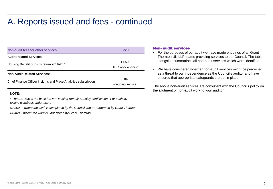### A. Reports issued and fees - continued

| Non-audit fees for other services                               | Fee £              |
|-----------------------------------------------------------------|--------------------|
| <b>Audit Related Services:</b>                                  |                    |
| Housing Benefit Subsidy return 2019-20 *                        | 11,500             |
|                                                                 | [TBC work ongoing] |
| <b>Non-Audit Related Services:</b>                              |                    |
| Chief Finance Officer Insights and Place Analytics subscription | 3.840              |
|                                                                 | (ongoing service)  |

#### **NOTE:**

*\* The £11,500 is the base fee for Housing Benefit Subsidy certification. For each 40+ testing workbook undertaken:*

*£2,200 – where the work is completed by the Council and re-performed by Grant Thornton*

*£4,400 – where the work is undertaken by Grant Thornton*

#### Non- audit services

- For the purposes of our audit we have made enquiries of all Grant Thornton UK LLP teams providing services to the Council. The table alongside summarises all non-audit services which were identified.
- We have considered whether non-audit services might be perceived as a threat to our independence as the Council's auditor and have ensured that appropriate safeguards are put in place.

The above non-audit services are consistent with the Council's policy on the allotment of non-audit work to your auditor.